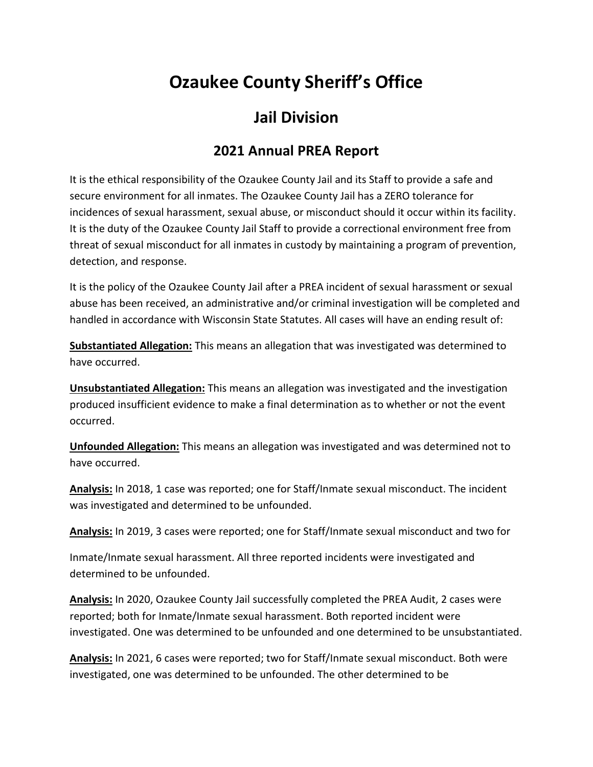## **Ozaukee County Sheriff's Office**

## **Jail Division**

## **2021 Annual PREA Report**

It is the ethical responsibility of the Ozaukee County Jail and its Staff to provide a safe and secure environment for all inmates. The Ozaukee County Jail has a ZERO tolerance for incidences of sexual harassment, sexual abuse, or misconduct should it occur within its facility. It is the duty of the Ozaukee County Jail Staff to provide a correctional environment free from threat of sexual misconduct for all inmates in custody by maintaining a program of prevention, detection, and response.

It is the policy of the Ozaukee County Jail after a PREA incident of sexual harassment or sexual abuse has been received, an administrative and/or criminal investigation will be completed and handled in accordance with Wisconsin State Statutes. All cases will have an ending result of:

**Substantiated Allegation:** This means an allegation that was investigated was determined to have occurred.

**Unsubstantiated Allegation:** This means an allegation was investigated and the investigation produced insufficient evidence to make a final determination as to whether or not the event occurred.

**Unfounded Allegation:** This means an allegation was investigated and was determined not to have occurred.

**Analysis:** In 2018, 1 case was reported; one for Staff/Inmate sexual misconduct. The incident was investigated and determined to be unfounded.

**Analysis:** In 2019, 3 cases were reported; one for Staff/Inmate sexual misconduct and two for

Inmate/Inmate sexual harassment. All three reported incidents were investigated and determined to be unfounded.

**Analysis:** In 2020, Ozaukee County Jail successfully completed the PREA Audit, 2 cases were reported; both for Inmate/Inmate sexual harassment. Both reported incident were investigated. One was determined to be unfounded and one determined to be unsubstantiated.

**Analysis:** In 2021, 6 cases were reported; two for Staff/Inmate sexual misconduct. Both were investigated, one was determined to be unfounded. The other determined to be